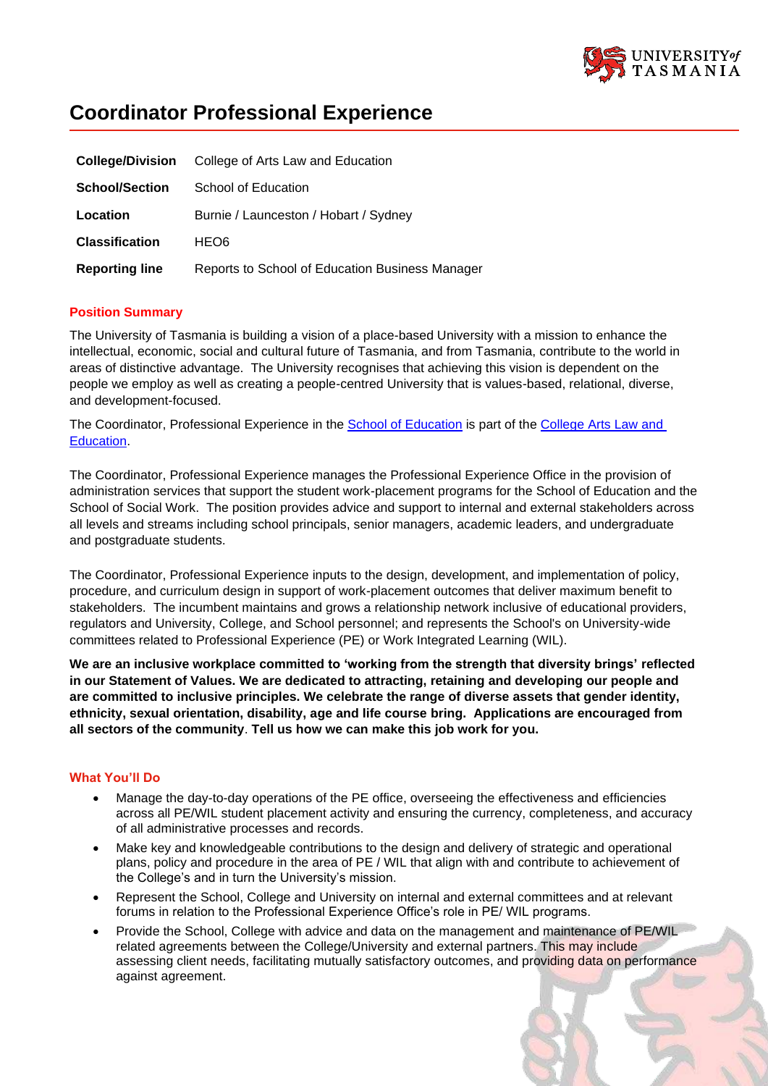

# **Coordinator Professional Experience**

| <b>College/Division</b> | College of Arts Law and Education               |
|-------------------------|-------------------------------------------------|
| <b>School/Section</b>   | School of Education                             |
| Location                | Burnie / Launceston / Hobart / Sydney           |
| <b>Classification</b>   | HEO6                                            |
| <b>Reporting line</b>   | Reports to School of Education Business Manager |

# **Position Summary**

The University of Tasmania is building a vision of a place-based University with a mission to enhance the intellectual, economic, social and cultural future of Tasmania, and from Tasmania, contribute to the world in areas of distinctive advantage. The University recognises that achieving this vision is dependent on the people we employ as well as creating a people-centred University that is values-based, relational, diverse, and development-focused.

The Coordinator, Professional Experience in the School of [Education](https://universitytasmania.sharepoint.com/sites/cale/SitePages/School%20of%20Education.aspx) is part of the College Arts Law and [Education.](https://universitytasmania.sharepoint.com/sites/cale/SitePages/Faculty-Of-Education.aspx)

The Coordinator, Professional Experience manages the Professional Experience Office in the provision of administration services that support the student work-placement programs for the School of Education and the School of Social Work. The position provides advice and support to internal and external stakeholders across all levels and streams including school principals, senior managers, academic leaders, and undergraduate and postgraduate students.

The Coordinator, Professional Experience inputs to the design, development, and implementation of policy, procedure, and curriculum design in support of work-placement outcomes that deliver maximum benefit to stakeholders. The incumbent maintains and grows a relationship network inclusive of educational providers, regulators and University, College, and School personnel; and represents the School's on University-wide committees related to Professional Experience (PE) or Work Integrated Learning (WIL).

**We are an inclusive workplace committed to 'working from the strength that diversity brings' reflected in our Statement of Values. We are dedicated to attracting, retaining and developing our people and are committed to inclusive principles. We celebrate the range of diverse assets that gender identity, ethnicity, sexual orientation, disability, age and life course bring. Applications are encouraged from all sectors of the community**. **Tell us how we can make this job work for you.**

### **What You'll Do**

- Manage the day-to-day operations of the PE office, overseeing the effectiveness and efficiencies across all PE/WIL student placement activity and ensuring the currency, completeness, and accuracy of all administrative processes and records.
- Make key and knowledgeable contributions to the design and delivery of strategic and operational plans, policy and procedure in the area of PE / WIL that align with and contribute to achievement of the College's and in turn the University's mission.
- Represent the School, College and University on internal and external committees and at relevant forums in relation to the Professional Experience Office's role in PE/ WIL programs.
- Provide the School, College with advice and data on the management and maintenance of PE/WIL related agreements between the College/University and external partners. This may include assessing client needs, facilitating mutually satisfactory outcomes, and providing data on performance against agreement.